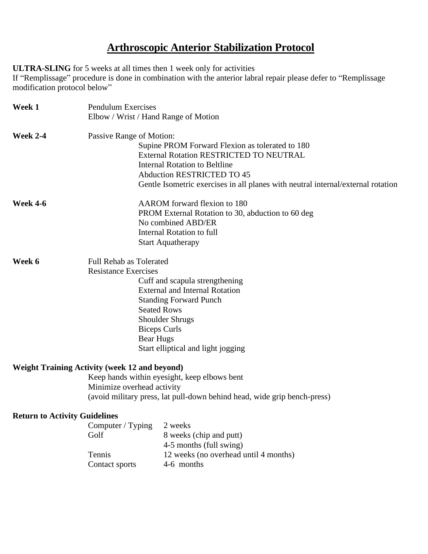## **Arthroscopic Anterior Stabilization Protocol**

**ULTRA-SLING** for 5 weeks at all times then 1 week only for activities

If "Remplissage" procedure is done in combination with the anterior labral repair please defer to "Remplissage modification protocol below"

| Week 1                               | <b>Pendulum Exercises</b><br>Elbow / Wrist / Hand Range of Motion                                                                                                                                                                                                                            |                                                                                                                                                                                                                                                             |
|--------------------------------------|----------------------------------------------------------------------------------------------------------------------------------------------------------------------------------------------------------------------------------------------------------------------------------------------|-------------------------------------------------------------------------------------------------------------------------------------------------------------------------------------------------------------------------------------------------------------|
| <b>Week 2-4</b>                      | Passive Range of Motion:                                                                                                                                                                                                                                                                     | Supine PROM Forward Flexion as tolerated to 180<br>External Rotation RESTRICTED TO NEUTRAL<br><b>Internal Rotation to Beltline</b><br><b>Abduction RESTRICTED TO 45</b><br>Gentle Isometric exercises in all planes with neutral internal/external rotation |
| <b>Week 4-6</b>                      | AAROM forward flexion to 180<br>PROM External Rotation to 30, abduction to 60 deg<br>No combined ABD/ER<br><b>Internal Rotation to full</b><br><b>Start Aquatherapy</b>                                                                                                                      |                                                                                                                                                                                                                                                             |
| Week 6                               | Full Rehab as Tolerated<br><b>Resistance Exercises</b><br>Cuff and scapula strengthening<br><b>External and Internal Rotation</b><br><b>Standing Forward Punch</b><br><b>Seated Rows</b><br><b>Shoulder Shrugs</b><br><b>Biceps Curls</b><br>Bear Hugs<br>Start elliptical and light jogging |                                                                                                                                                                                                                                                             |
|                                      | <b>Weight Training Activity (week 12 and beyond)</b><br>Minimize overhead activity                                                                                                                                                                                                           | Keep hands within eyesight, keep elbows bent<br>(avoid military press, lat pull-down behind head, wide grip bench-press)                                                                                                                                    |
| <b>Return to Activity Guidelines</b> | Computer / Typing<br>Golf<br>Tennis<br>Contact sports                                                                                                                                                                                                                                        | 2 weeks<br>8 weeks (chip and putt)<br>4-5 months (full swing)<br>12 weeks (no overhead until 4 months)<br>4-6 months                                                                                                                                        |
|                                      |                                                                                                                                                                                                                                                                                              |                                                                                                                                                                                                                                                             |